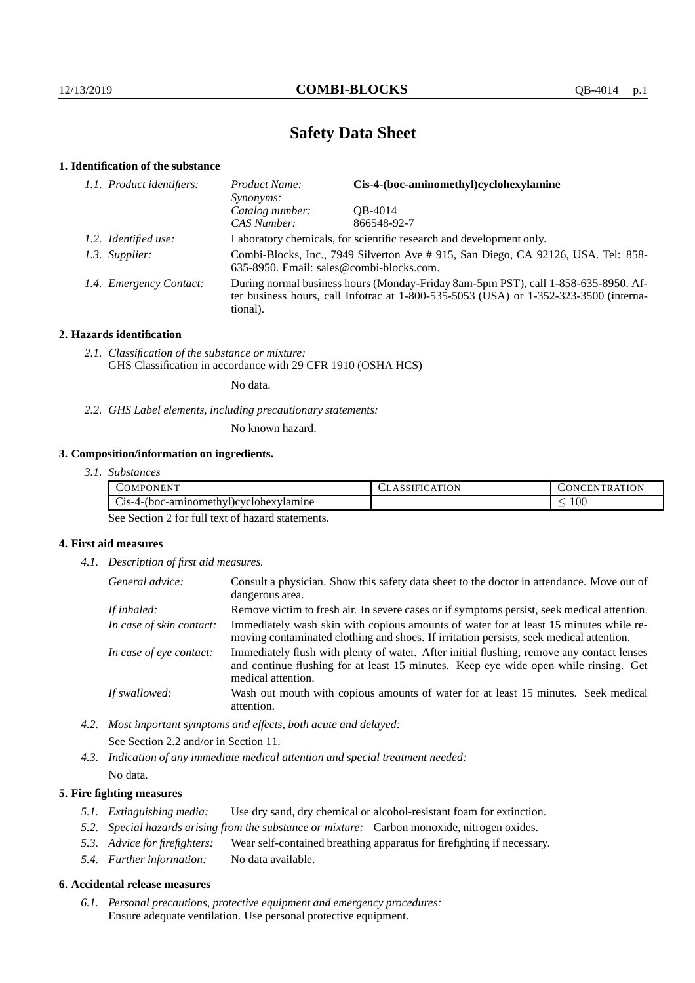# **Safety Data Sheet**

## **1. Identification of the substance**

| 1.1. Product identifiers: | Cis-4-(boc-aminomethyl)cyclohexylamine<br>Product Name:<br>Synonyms:                                                                                                                    |             |  |
|---------------------------|-----------------------------------------------------------------------------------------------------------------------------------------------------------------------------------------|-------------|--|
|                           | Catalog number:                                                                                                                                                                         | OB-4014     |  |
|                           | CAS Number:                                                                                                                                                                             | 866548-92-7 |  |
| 1.2. Identified use:      | Laboratory chemicals, for scientific research and development only.                                                                                                                     |             |  |
| 1.3. Supplier:            | Combi-Blocks, Inc., 7949 Silverton Ave #915, San Diego, CA 92126, USA. Tel: 858-<br>635-8950. Email: sales@combi-blocks.com.                                                            |             |  |
| 1.4. Emergency Contact:   | During normal business hours (Monday-Friday 8am-5pm PST), call 1-858-635-8950. Af-<br>ter business hours, call Infotrac at 1-800-535-5053 (USA) or 1-352-323-3500 (interna-<br>tional). |             |  |

## **2. Hazards identification**

*2.1. Classification of the substance or mixture:* GHS Classification in accordance with 29 CFR 1910 (OSHA HCS)

No data.

*2.2. GHS Label elements, including precautionary statements:*

No known hazard.

## **3. Composition/information on ingredients.**

| ,,,,,,,,                                                  | ATION   | <b>TRATION</b> |
|-----------------------------------------------------------|---------|----------------|
| <b>JMPC</b>                                               | . A '   | N              |
| .)NEN'                                                    | ം കാവല⊷ | - EN 1         |
| ~·<br>C <sub>18</sub> -4-(boc-aminomethyl)cyclohexylamine |         | 100            |

See Section 2 for full text of hazard statements.

## **4. First aid measures**

*4.1. Description of first aid measures.*

| General advice:          | Consult a physician. Show this safety data sheet to the doctor in attendance. Move out of<br>dangerous area.                                                                                            |
|--------------------------|---------------------------------------------------------------------------------------------------------------------------------------------------------------------------------------------------------|
| If inhaled:              | Remove victim to fresh air. In severe cases or if symptoms persist, seek medical attention.                                                                                                             |
| In case of skin contact: | Immediately wash skin with copious amounts of water for at least 15 minutes while re-<br>moving contaminated clothing and shoes. If irritation persists, seek medical attention.                        |
| In case of eye contact:  | Immediately flush with plenty of water. After initial flushing, remove any contact lenses<br>and continue flushing for at least 15 minutes. Keep eye wide open while rinsing. Get<br>medical attention. |
| If swallowed:            | Wash out mouth with copious amounts of water for at least 15 minutes. Seek medical<br>attention.                                                                                                        |

- *4.2. Most important symptoms and effects, both acute and delayed:* See Section 2.2 and/or in Section 11.
- *4.3. Indication of any immediate medical attention and special treatment needed:* No data.

## **5. Fire fighting measures**

- *5.1. Extinguishing media:* Use dry sand, dry chemical or alcohol-resistant foam for extinction.
- *5.2. Special hazards arising from the substance or mixture:* Carbon monoxide, nitrogen oxides.
- *5.3. Advice for firefighters:* Wear self-contained breathing apparatus for firefighting if necessary.
- *5.4. Further information:* No data available.

## **6. Accidental release measures**

*6.1. Personal precautions, protective equipment and emergency procedures:* Ensure adequate ventilation. Use personal protective equipment.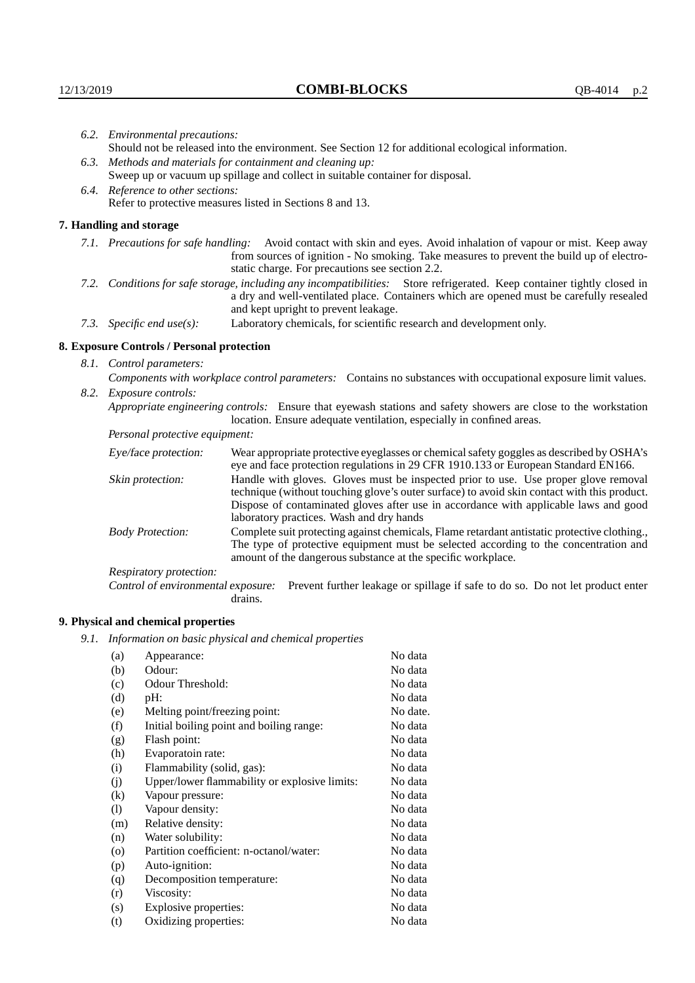|                                                                                                  | 6.2. Environmental precautions:                                                                                                                                                                                                                            |                                                                                                                                                                                                                                                                    |  |
|--------------------------------------------------------------------------------------------------|------------------------------------------------------------------------------------------------------------------------------------------------------------------------------------------------------------------------------------------------------------|--------------------------------------------------------------------------------------------------------------------------------------------------------------------------------------------------------------------------------------------------------------------|--|
|                                                                                                  | Should not be released into the environment. See Section 12 for additional ecological information.                                                                                                                                                         |                                                                                                                                                                                                                                                                    |  |
| 6.3. Methods and materials for containment and cleaning up:                                      |                                                                                                                                                                                                                                                            |                                                                                                                                                                                                                                                                    |  |
|                                                                                                  |                                                                                                                                                                                                                                                            | Sweep up or vacuum up spillage and collect in suitable container for disposal.                                                                                                                                                                                     |  |
|                                                                                                  | 6.4. Reference to other sections:                                                                                                                                                                                                                          |                                                                                                                                                                                                                                                                    |  |
|                                                                                                  | Refer to protective measures listed in Sections 8 and 13.                                                                                                                                                                                                  |                                                                                                                                                                                                                                                                    |  |
|                                                                                                  | 7. Handling and storage                                                                                                                                                                                                                                    |                                                                                                                                                                                                                                                                    |  |
|                                                                                                  |                                                                                                                                                                                                                                                            | 7.1. Precautions for safe handling: Avoid contact with skin and eyes. Avoid inhalation of vapour or mist. Keep away<br>from sources of ignition - No smoking. Take measures to prevent the build up of electro-<br>static charge. For precautions see section 2.2. |  |
|                                                                                                  | 7.2. Conditions for safe storage, including any incompatibilities: Store refrigerated. Keep container tightly closed in<br>a dry and well-ventilated place. Containers which are opened must be carefully resealed<br>and kept upright to prevent leakage. |                                                                                                                                                                                                                                                                    |  |
| Laboratory chemicals, for scientific research and development only.<br>7.3. Specific end use(s): |                                                                                                                                                                                                                                                            |                                                                                                                                                                                                                                                                    |  |
|                                                                                                  | 8. Exposure Controls / Personal protection                                                                                                                                                                                                                 |                                                                                                                                                                                                                                                                    |  |
|                                                                                                  | 8.1. Control parameters:                                                                                                                                                                                                                                   |                                                                                                                                                                                                                                                                    |  |
|                                                                                                  | Components with workplace control parameters: Contains no substances with occupational exposure limit values.                                                                                                                                              |                                                                                                                                                                                                                                                                    |  |
|                                                                                                  | 8.2. Exposure controls:                                                                                                                                                                                                                                    |                                                                                                                                                                                                                                                                    |  |
|                                                                                                  |                                                                                                                                                                                                                                                            | Appropriate engineering controls: Ensure that eyewash stations and safety showers are close to the workstation<br>location. Ensure adequate ventilation, especially in confined areas.                                                                             |  |
|                                                                                                  | Personal protective equipment:                                                                                                                                                                                                                             |                                                                                                                                                                                                                                                                    |  |
|                                                                                                  | Eye/face protection:                                                                                                                                                                                                                                       | Wear appropriate protective eyeglasses or chemical safety goggles as described by OSHA's<br>eye and face protection regulations in 29 CFR 1910.133 or European Standard EN166.                                                                                     |  |
|                                                                                                  | Skin protection:                                                                                                                                                                                                                                           | Handle with gloves. Gloves must be inspected prior to use. Use proper glove removal<br>technique (without touching glove's outer surface) to avoid skin contact with this product.                                                                                 |  |

| Eye/face protection:               | Wear appropriate protective eyeglasses or chemical safety goggles as described by OSHA's<br>eye and face protection regulations in 29 CFR 1910.133 or European Standard EN166.                                                                                                                                         |
|------------------------------------|------------------------------------------------------------------------------------------------------------------------------------------------------------------------------------------------------------------------------------------------------------------------------------------------------------------------|
| Skin protection:                   | Handle with gloves. Gloves must be inspected prior to use. Use proper glove removal<br>technique (without touching glove's outer surface) to avoid skin contact with this product.<br>Dispose of contaminated gloves after use in accordance with applicable laws and good<br>laboratory practices. Wash and dry hands |
| <b>Body Protection:</b>            | Complete suit protecting against chemicals, Flame retardant antistatic protective clothing.<br>The type of protective equipment must be selected according to the concentration and<br>amount of the dangerous substance at the specific workplace.                                                                    |
| Respiratory protection:            |                                                                                                                                                                                                                                                                                                                        |
| Control of environmental exposure: | Prevent further leakage or spillage if safe to do so. Do not let product enter<br>drains.                                                                                                                                                                                                                              |

## **9. Physical and chemical properties**

*9.1. Information on basic physical and chemical properties*

| (a)                        | Appearance:                                   | No data  |
|----------------------------|-----------------------------------------------|----------|
| (b)                        | Odour:                                        | No data  |
| (c)                        | Odour Threshold:                              | No data  |
| (d)                        | pH:                                           | No data  |
| (e)                        | Melting point/freezing point:                 | No date. |
| (f)                        | Initial boiling point and boiling range:      | No data  |
| (g)                        | Flash point:                                  | No data  |
| (h)                        | Evaporatoin rate:                             | No data  |
| (i)                        | Flammability (solid, gas):                    | No data  |
| (j)                        | Upper/lower flammability or explosive limits: | No data  |
| $\rm(k)$                   | Vapour pressure:                              | No data  |
| $\left( \mathrm{l}\right)$ | Vapour density:                               | No data  |
| (m)                        | Relative density:                             | No data  |
| (n)                        | Water solubility:                             | No data  |
| $\circ$                    | Partition coefficient: n-octanol/water:       | No data  |
| (p)                        | Auto-ignition:                                | No data  |
| (q)                        | Decomposition temperature:                    | No data  |
| (r)                        | Viscosity:                                    | No data  |
| (s)                        | Explosive properties:                         | No data  |
| (t)                        | Oxidizing properties:                         | No data  |